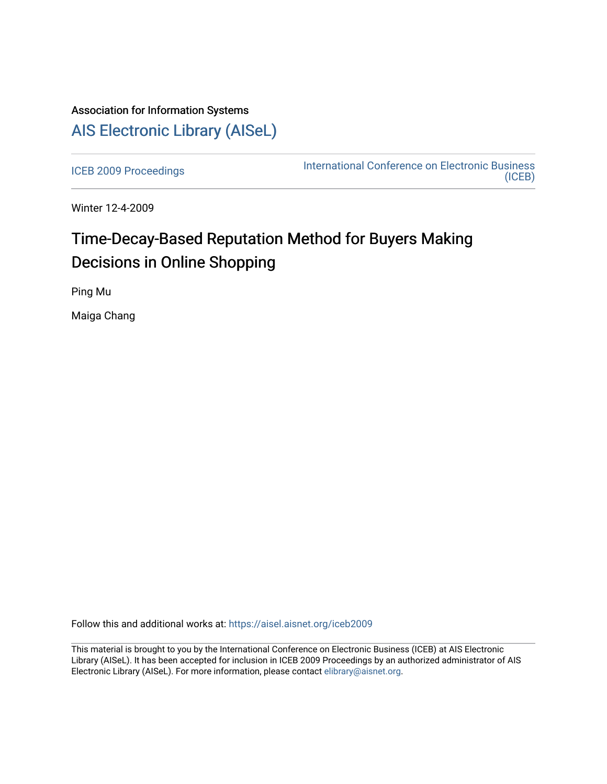## Association for Information Systems [AIS Electronic Library \(AISeL\)](https://aisel.aisnet.org/)

[ICEB 2009 Proceedings](https://aisel.aisnet.org/iceb2009) **International Conference on Electronic Business** [\(ICEB\)](https://aisel.aisnet.org/iceb) 

Winter 12-4-2009

# Time-Decay-Based Reputation Method for Buyers Making Decisions in Online Shopping

Ping Mu

Maiga Chang

Follow this and additional works at: [https://aisel.aisnet.org/iceb2009](https://aisel.aisnet.org/iceb2009?utm_source=aisel.aisnet.org%2Ficeb2009%2F16&utm_medium=PDF&utm_campaign=PDFCoverPages)

This material is brought to you by the International Conference on Electronic Business (ICEB) at AIS Electronic Library (AISeL). It has been accepted for inclusion in ICEB 2009 Proceedings by an authorized administrator of AIS Electronic Library (AISeL). For more information, please contact [elibrary@aisnet.org.](mailto:elibrary@aisnet.org%3E)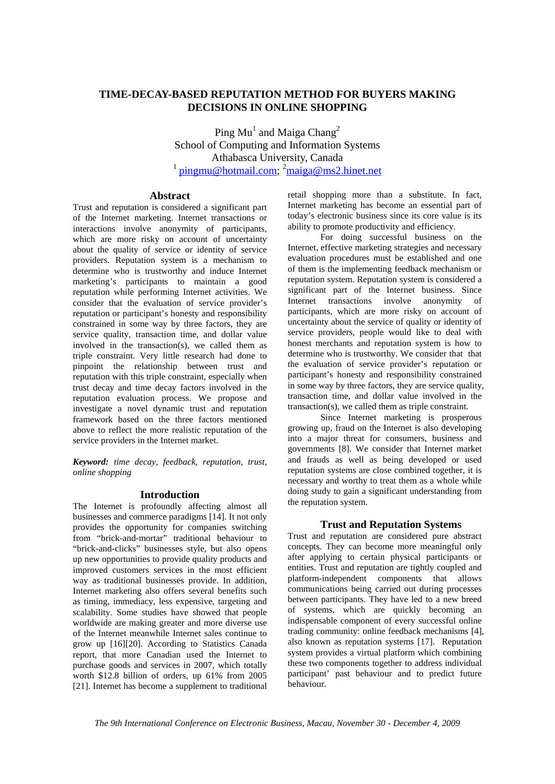### **TIME-DECAY-BASED REPUTATION METHOD FOR BUYERS MAKING DECISIONS IN ONLINE SHOPPING**

Ping  $\text{Mu}^1$  and Maiga Chang<sup>2</sup> School of Computing and Information Systems Athabasca University, Canada <sup>1</sup> pingmu@hotmail.com; <sup>2</sup>maiga@ms2.hinet.net

#### **Abstract**

Trust and reputation is considered a significant part of the Internet marketing. Internet transactions or interactions involve anonymity of participants, which are more risky on account of uncertainty about the quality of service or identity of service providers. Reputation system is a mechanism to determine who is trustworthy and induce Internet marketing's participants to maintain a good reputation while performing Internet activities. We consider that the evaluation of service provider's reputation or participant's honesty and responsibility constrained in some way by three factors, they are service quality, transaction time, and dollar value involved in the transaction(s), we called them as triple constraint. Very little research had done to pinpoint the relationship between trust and reputation with this triple constraint, especially when trust decay and time decay factors involved in the reputation evaluation process. We propose and investigate a novel dynamic trust and reputation framework based on the three factors mentioned above to reflect the more realistic reputation of the service providers in the Internet market.

*Keyword: time decay, feedback, reputation, trust, online shopping* 

#### **Introduction**

The Internet is profoundly affecting almost all businesses and commerce paradigms [14]. It not only provides the opportunity for companies switching from "brick-and-mortar" traditional behaviour to "brick-and-clicks" businesses style, but also opens up new opportunities to provide quality products and improved customers services in the most efficient way as traditional businesses provide. In addition, Internet marketing also offers several benefits such as timing, immediacy, less expensive, targeting and scalability. Some studies have showed that people worldwide are making greater and more diverse use of the Internet meanwhile Internet sales continue to grow up [16][20]. According to Statistics Canada report, that more Canadian used the Internet to purchase goods and services in 2007, which totally worth \$12.8 billion of orders, up 61% from 2005 [21]. Internet has become a supplement to traditional retail shopping more than a substitute. In fact, Internet marketing has become an essential part of today's electronic business since its core value is its ability to promote productivity and efficiency.

For doing successful business on the Internet, effective marketing strategies and necessary evaluation procedures must be established and one of them is the implementing feedback mechanism or reputation system. Reputation system is considered a significant part of the Internet business. Since Internet transactions involve anonymity of participants, which are more risky on account of uncertainty about the service of quality or identity of service providers, people would like to deal with honest merchants and reputation system is how to determine who is trustworthy. We consider that that the evaluation of service provider's reputation or participant's honesty and responsibility constrained in some way by three factors, they are service quality, transaction time, and dollar value involved in the transaction(s), we called them as triple constraint.

Since Internet marketing is prosperous growing up, fraud on the Internet is also developing into a major threat for consumers, business and governments [8]. We consider that Internet market and frauds as well as being developed or used reputation systems are close combined together, it is necessary and worthy to treat them as a whole while doing study to gain a significant understanding from the reputation system.

#### **Trust and Reputation Systems**

Trust and reputation are considered pure abstract concepts. They can become more meaningful only after applying to certain physical participants or entities. Trust and reputation are tightly coupled and platform-independent components that allows communications being carried out during processes between participants. They have led to a new breed of systems, which are quickly becoming an indispensable component of every successful online trading community: online feedback mechanisms [4], also known as reputation systems [17]. Reputation system provides a virtual platform which combining these two components together to address individual participant' past behaviour and to predict future behaviour.

*The 9th International Conference on Electronic Business, Macau, November 30 - December 4, 2009*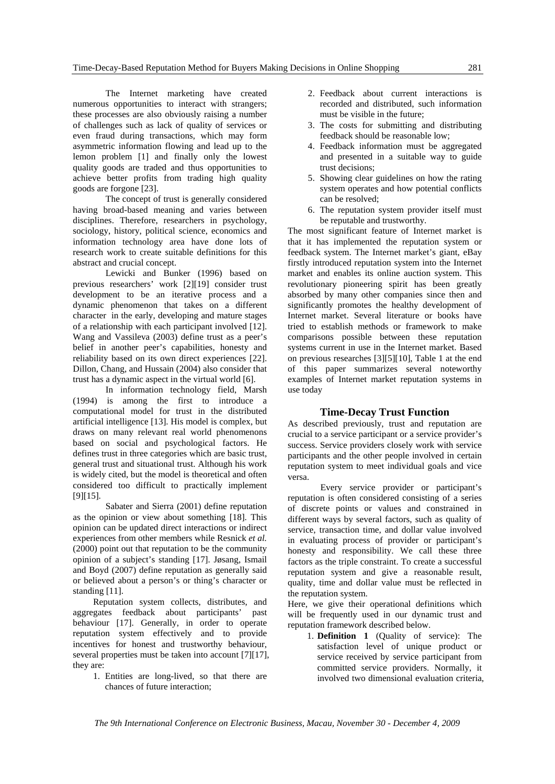The Internet marketing have created numerous opportunities to interact with strangers; these processes are also obviously raising a number of challenges such as lack of quality of services or even fraud during transactions, which may form asymmetric information flowing and lead up to the lemon problem [1] and finally only the lowest quality goods are traded and thus opportunities to achieve better profits from trading high quality goods are forgone [23].

The concept of trust is generally considered having broad-based meaning and varies between disciplines. Therefore, researchers in psychology, sociology, history, political science, economics and information technology area have done lots of research work to create suitable definitions for this abstract and crucial concept.

Lewicki and Bunker (1996) based on previous researchers' work [2][19] consider trust development to be an iterative process and a dynamic phenomenon that takes on a different character in the early, developing and mature stages of a relationship with each participant involved [12]. Wang and Vassileva (2003) define trust as a peer's belief in another peer's capabilities, honesty and reliability based on its own direct experiences [22]. Dillon, Chang, and Hussain (2004) also consider that trust has a dynamic aspect in the virtual world [6].

In information technology field, Marsh (1994) is among the first to introduce a computational model for trust in the distributed artificial intelligence [13]. His model is complex, but draws on many relevant real world phenomenons based on social and psychological factors. He defines trust in three categories which are basic trust, general trust and situational trust. Although his work is widely cited, but the model is theoretical and often considered too difficult to practically implement [9][15].

Sabater and Sierra (2001) define reputation as the opinion or view about something [18]. This opinion can be updated direct interactions or indirect experiences from other members while Resnick *et al.* (2000) point out that reputation to be the community opinion of a subject's standing [17]. Jøsang, Ismail and Boyd (2007) define reputation as generally said or believed about a person's or thing's character or standing [11].

Reputation system collects, distributes, and aggregates feedback about participants' past behaviour [17]. Generally, in order to operate reputation system effectively and to provide incentives for honest and trustworthy behaviour, several properties must be taken into account [7][17], they are:

> 1. Entities are long-lived, so that there are chances of future interaction;

- 2. Feedback about current interactions is recorded and distributed, such information must be visible in the future;
- 3. The costs for submitting and distributing feedback should be reasonable low;
- 4. Feedback information must be aggregated and presented in a suitable way to guide trust decisions;
- 5. Showing clear guidelines on how the rating system operates and how potential conflicts can be resolved;
- 6. The reputation system provider itself must be reputable and trustworthy.

The most significant feature of Internet market is that it has implemented the reputation system or feedback system. The Internet market's giant, eBay firstly introduced reputation system into the Internet market and enables its online auction system. This revolutionary pioneering spirit has been greatly absorbed by many other companies since then and significantly promotes the healthy development of Internet market. Several literature or books have tried to establish methods or framework to make comparisons possible between these reputation systems current in use in the Internet market. Based on previous researches [3][5][10], Table 1 at the end of this paper summarizes several noteworthy examples of Internet market reputation systems in use today

#### **Time-Decay Trust Function**

As described previously, trust and reputation are crucial to a service participant or a service provider's success. Service providers closely work with service participants and the other people involved in certain reputation system to meet individual goals and vice versa.

Every service provider or participant's reputation is often considered consisting of a series of discrete points or values and constrained in different ways by several factors, such as quality of service, transaction time, and dollar value involved in evaluating process of provider or participant's honesty and responsibility. We call these three factors as the triple constraint. To create a successful reputation system and give a reasonable result, quality, time and dollar value must be reflected in the reputation system.

Here, we give their operational definitions which will be frequently used in our dynamic trust and reputation framework described below.

1. **Definition 1** (Quality of service): The satisfaction level of unique product or service received by service participant from committed service providers. Normally, it involved two dimensional evaluation criteria,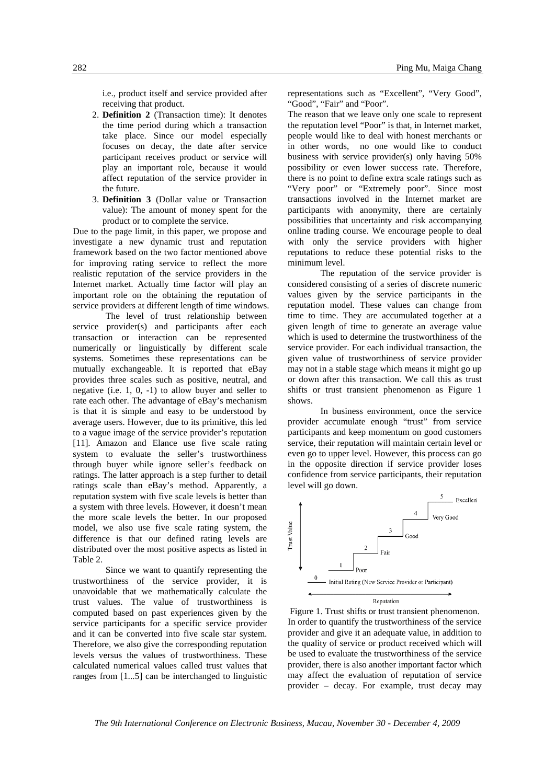i.e., product itself and service provided after receiving that product.

- 2. **Definition 2** (Transaction time): It denotes the time period during which a transaction take place. Since our model especially focuses on decay, the date after service participant receives product or service will play an important role, because it would affect reputation of the service provider in the future.
- 3. **Definition 3** (Dollar value or Transaction value): The amount of money spent for the product or to complete the service.

Due to the page limit, in this paper, we propose and investigate a new dynamic trust and reputation framework based on the two factor mentioned above for improving rating service to reflect the more realistic reputation of the service providers in the Internet market. Actually time factor will play an important role on the obtaining the reputation of service providers at different length of time windows.

The level of trust relationship between service provider(s) and participants after each transaction or interaction can be represented numerically or linguistically by different scale systems. Sometimes these representations can be mutually exchangeable. It is reported that eBay provides three scales such as positive, neutral, and negative (i.e. 1, 0, -1) to allow buyer and seller to rate each other. The advantage of eBay's mechanism is that it is simple and easy to be understood by average users. However, due to its primitive, this led to a vague image of the service provider's reputation [11]. Amazon and Elance use five scale rating system to evaluate the seller's trustworthiness through buyer while ignore seller's feedback on ratings. The latter approach is a step further to detail ratings scale than eBay's method. Apparently, a reputation system with five scale levels is better than a system with three levels. However, it doesn't mean the more scale levels the better. In our proposed model, we also use five scale rating system, the difference is that our defined rating levels are distributed over the most positive aspects as listed in Table 2.

Since we want to quantify representing the trustworthiness of the service provider, it is unavoidable that we mathematically calculate the trust values. The value of trustworthiness is computed based on past experiences given by the service participants for a specific service provider and it can be converted into five scale star system. Therefore, we also give the corresponding reputation levels versus the values of trustworthiness. These calculated numerical values called trust values that ranges from [1...5] can be interchanged to linguistic representations such as "Excellent", "Very Good", "Good", "Fair" and "Poor".

The reason that we leave only one scale to represent the reputation level "Poor" is that, in Internet market, people would like to deal with honest merchants or in other words, no one would like to conduct business with service provider(s) only having 50% possibility or even lower success rate. Therefore, there is no point to define extra scale ratings such as "Very poor" or "Extremely poor". Since most transactions involved in the Internet market are participants with anonymity, there are certainly possibilities that uncertainty and risk accompanying online trading course. We encourage people to deal with only the service providers with higher reputations to reduce these potential risks to the minimum level.

The reputation of the service provider is considered consisting of a series of discrete numeric values given by the service participants in the reputation model. These values can change from time to time. They are accumulated together at a given length of time to generate an average value which is used to determine the trustworthiness of the service provider. For each individual transaction, the given value of trustworthiness of service provider may not in a stable stage which means it might go up or down after this transaction. We call this as trust shifts or trust transient phenomenon as Figure 1 shows.

In business environment, once the service provider accumulate enough "trust" from service participants and keep momentum on good customers service, their reputation will maintain certain level or even go to upper level. However, this process can go in the opposite direction if service provider loses confidence from service participants, their reputation level will go down.



Figure 1. Trust shifts or trust transient phenomenon. In order to quantify the trustworthiness of the service provider and give it an adequate value, in addition to the quality of service or product received which will be used to evaluate the trustworthiness of the service provider, there is also another important factor which may affect the evaluation of reputation of service provider – decay. For example, trust decay may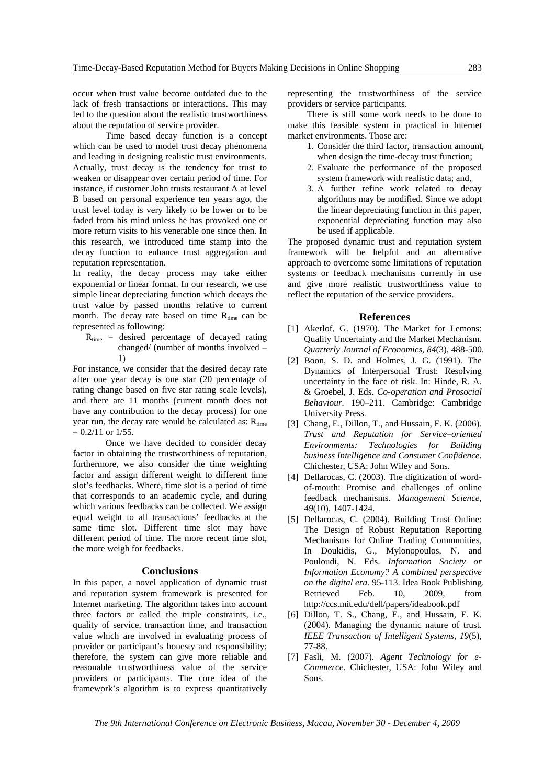occur when trust value become outdated due to the lack of fresh transactions or interactions. This may led to the question about the realistic trustworthiness about the reputation of service provider.

Time based decay function is a concept which can be used to model trust decay phenomena and leading in designing realistic trust environments. Actually, trust decay is the tendency for trust to weaken or disappear over certain period of time. For instance, if customer John trusts restaurant A at level B based on personal experience ten years ago, the trust level today is very likely to be lower or to be faded from his mind unless he has provoked one or more return visits to his venerable one since then. In this research, we introduced time stamp into the decay function to enhance trust aggregation and reputation representation.

In reality, the decay process may take either exponential or linear format. In our research, we use simple linear depreciating function which decays the trust value by passed months relative to current month. The decay rate based on time  $R_{time}$  can be represented as following:

 $R_{time}$  = desired percentage of decayed rating changed/ (number of months involved – 1)

For instance, we consider that the desired decay rate after one year decay is one star (20 percentage of rating change based on five star rating scale levels), and there are 11 months (current month does not have any contribution to the decay process) for one year run, the decay rate would be calculated as:  $R_{time}$  $= 0.2/11$  or  $1/55$ .

Once we have decided to consider decay factor in obtaining the trustworthiness of reputation, furthermore, we also consider the time weighting factor and assign different weight to different time slot's feedbacks. Where, time slot is a period of time that corresponds to an academic cycle, and during which various feedbacks can be collected. We assign equal weight to all transactions' feedbacks at the same time slot. Different time slot may have different period of time. The more recent time slot, the more weigh for feedbacks.

#### **Conclusions**

In this paper, a novel application of dynamic trust and reputation system framework is presented for Internet marketing. The algorithm takes into account three factors or called the triple constraints, i.e., quality of service, transaction time, and transaction value which are involved in evaluating process of provider or participant's honesty and responsibility; therefore, the system can give more reliable and reasonable trustworthiness value of the service providers or participants. The core idea of the framework's algorithm is to express quantitatively

representing the trustworthiness of the service providers or service participants.

There is still some work needs to be done to make this feasible system in practical in Internet market environments. Those are:

- 1. Consider the third factor, transaction amount, when design the time-decay trust function;
- 2. Evaluate the performance of the proposed system framework with realistic data; and,
- 3. A further refine work related to decay algorithms may be modified. Since we adopt the linear depreciating function in this paper, exponential depreciating function may also be used if applicable.

The proposed dynamic trust and reputation system framework will be helpful and an alternative approach to overcome some limitations of reputation systems or feedback mechanisms currently in use and give more realistic trustworthiness value to reflect the reputation of the service providers.

#### **References**

- [1] Akerlof, G. (1970). The Market for Lemons: Quality Uncertainty and the Market Mechanism. *Quarterly Journal of Economics*, *84*(3), 488-500.
- [2] Boon, S. D. and Holmes, J. G. (1991). The Dynamics of Interpersonal Trust: Resolving uncertainty in the face of risk. In: Hinde, R. A. & Groebel, J. Eds. *Co-operation and Prosocial Behaviour.* 190–211. Cambridge: Cambridge University Press.
- [3] Chang, E., Dillon, T., and Hussain, F. K. (2006). *Trust and Reputation for Service–oriented Environments: Technologies for Building business Intelligence and Consumer Confidence*. Chichester, USA: John Wiley and Sons.
- [4] Dellarocas, C. (2003). The digitization of wordof-mouth: Promise and challenges of online feedback mechanisms. *Management Science*, *49*(10), 1407-1424.
- [5] Dellarocas, C. (2004). Building Trust Online: The Design of Robust Reputation Reporting Mechanisms for Online Trading Communities, In Doukidis, G., Mylonopoulos, N. and Pouloudi, N. Eds. *Information Society or Information Economy? A combined perspective on the digital era*. 95-113. Idea Book Publishing. Retrieved Feb. 10, 2009, from http://ccs.mit.edu/dell/papers/ideabook.pdf
- [6] Dillon, T. S., Chang, E., and Hussain, F. K. (2004). Managing the dynamic nature of trust. *IEEE Transaction of Intelligent Systems*, *19*(5), 77-88.
- [7] Fasli, M. (2007). *Agent Technology for e-Commerce*. Chichester, USA: John Wiley and Sons.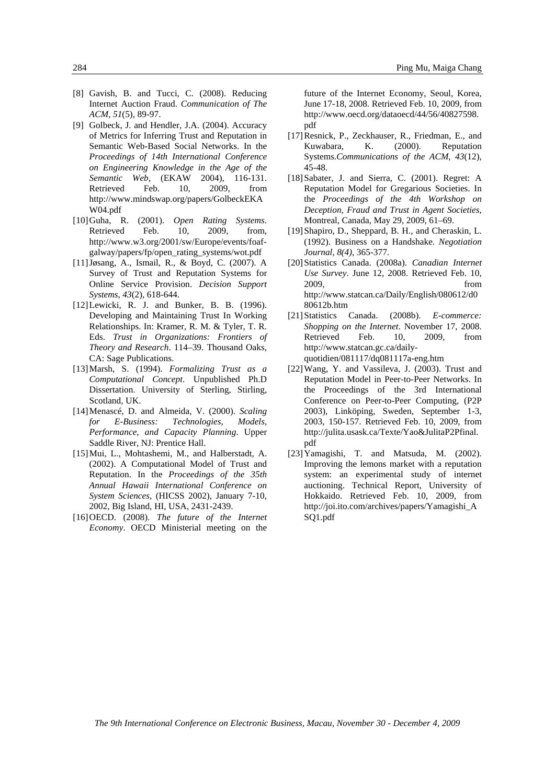- [8] Gavish, B. and Tucci, C. (2008). Reducing Internet Auction Fraud. *Communication of The ACM*, *51*(5), 89-97.
- [9] Golbeck, J. and Hendler, J.A. (2004). Accuracy of Metrics for Inferring Trust and Reputation in Semantic Web-Based Social Networks. In the *Proceedings of 14th International Conference on Engineering Knowledge in the Age of the Semantic Web*, (EKAW 2004), 116-131. Retrieved Feb. 10, 2009, from http://www.mindswap.org/papers/GolbeckEKA W04.pdf
- [10]Guha, R. (2001). *Open Rating Systems*. Retrieved Feb. 10, 2009, from, http://www.w3.org/2001/sw/Europe/events/foafgalway/papers/fp/open\_rating\_systems/wot.pdf
- [11]Jøsang, A., Ismail, R., & Boyd, C. (2007). A Survey of Trust and Reputation Systems for Online Service Provision. *Decision Support Systems*, *43*(2), 618-644.
- [12]Lewicki, R. J. and Bunker, B. B. (1996). Developing and Maintaining Trust In Working Relationships. In: Kramer, R. M. & Tyler, T. R. Eds. *Trust in Organizations: Frontiers of Theory and Research*. 114–39. Thousand Oaks, CA: Sage Publications.
- [13]Marsh, S. (1994). *Formalizing Trust as a Computational Concept*. Unpublished Ph.D Dissertation. University of Sterling, Stirling, Scotland, UK.
- [14]Menascé, D. and Almeida, V. (2000). *Scaling for E-Business: Technologies, Models, Performance, and Capacity Planning*. Upper Saddle River, NJ: Prentice Hall.
- [15]Mui, L., Mohtashemi, M., and Halberstadt, A. (2002). A Computational Model of Trust and Reputation. In the *Proceedings of the 35th Annual Hawaii International Conference on System Sciences*, (HICSS 2002), January 7-10, 2002, Big Island, HI, USA, 2431-2439.
- [16]OECD. (2008). *The future of the Internet Economy*. OECD Ministerial meeting on the

future of the Internet Economy, Seoul, Korea, June 17-18, 2008. Retrieved Feb. 10, 2009, from http://www.oecd.org/dataoecd/44/56/40827598. pdf

- [17]Resnick, P., Zeckhauser, R., Friedman, E., and Kuwabara, K. (2000). Reputation Systems.*Communications of the ACM*, *43*(12), 45-48.
- [18]Sabater, J. and Sierra, C. (2001). Regret: A Reputation Model for Gregarious Societies. In the *Proceedings of the 4th Workshop on Deception, Fraud and Trust in Agent Societies*, Montreal, Canada, May 29, 2009, 61–69.
- [19]Shapiro, D., Sheppard, B. H., and Cheraskin, L. (1992). Business on a Handshake. *Negotiation Journal*, *8(4)*, 365-377.
- [20]Statistics Canada. (2008a). *Canadian Internet Use Survey*. June 12, 2008. Retrieved Feb. 10, 2009, from http://www.statcan.ca/Daily/English/080612/d0 80612b.htm
- [21]Statistics Canada. (2008b). *E-commerce: Shopping on the Internet*. November 17, 2008. Retrieved Feb. 10, 2009, from http://www.statcan.gc.ca/dailyquotidien/081117/dq081117a-eng.htm
- [22]Wang, Y. and Vassileva, J. (2003). Trust and Reputation Model in Peer-to-Peer Networks. In the Proceedings of the 3rd International Conference on Peer-to-Peer Computing, (P2P 2003), Linköping, Sweden, September 1-3, 2003, 150-157. Retrieved Feb. 10, 2009, from http://julita.usask.ca/Texte/Yao&JulitaP2Pfinal. pdf
- [23]Yamagishi, T. and Matsuda, M. (2002). Improving the lemons market with a reputation system: an experimental study of internet auctioning. Technical Report, University of Hokkaido. Retrieved Feb. 10, 2009, from http://joi.ito.com/archives/papers/Yamagishi\_A SQ1.pdf